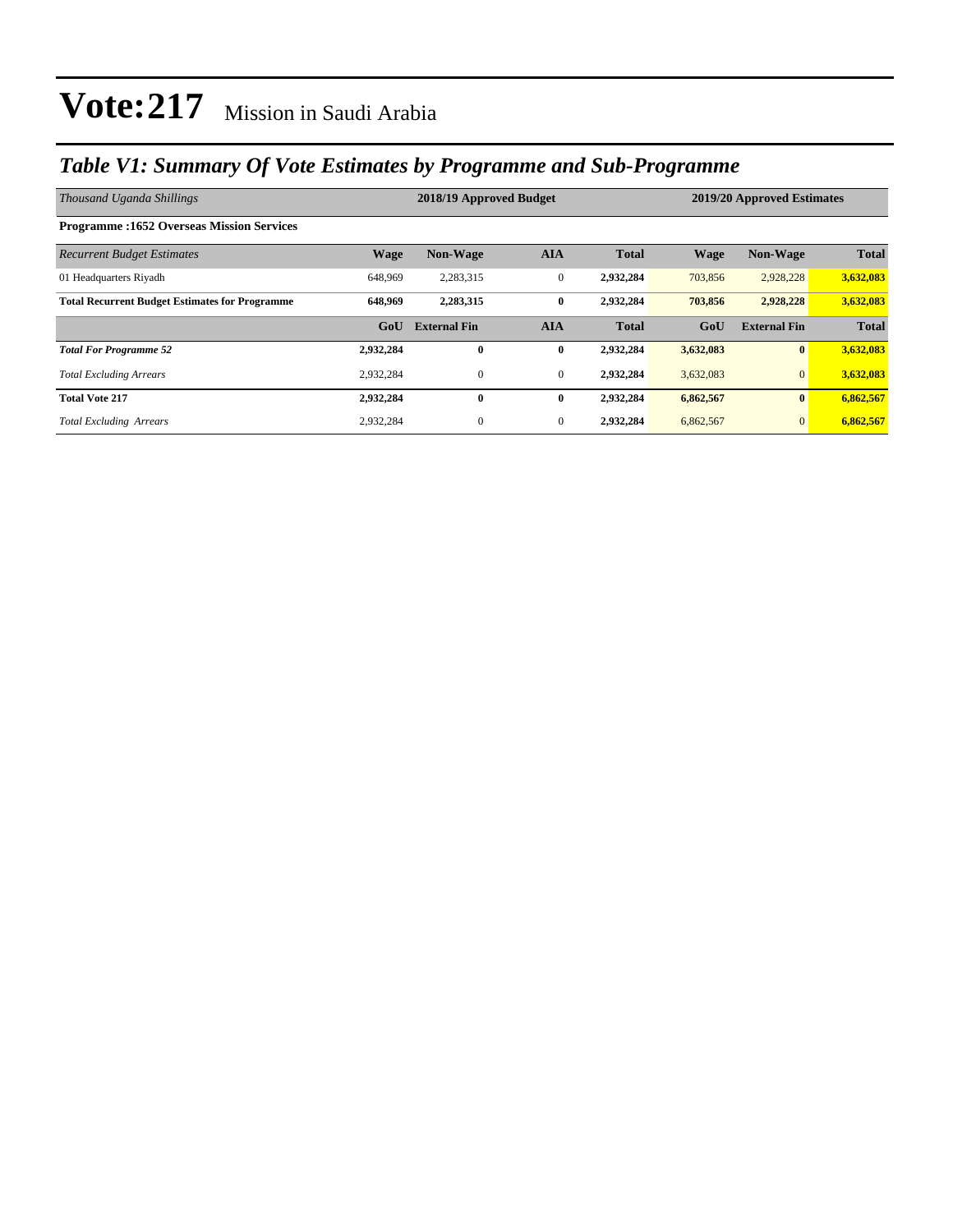### *Table V1: Summary Of Vote Estimates by Programme and Sub-Programme*

| Thousand Uganda Shillings                             | 2018/19 Approved Budget |                     |              |              |             | 2019/20 Approved Estimates |              |  |
|-------------------------------------------------------|-------------------------|---------------------|--------------|--------------|-------------|----------------------------|--------------|--|
| <b>Programme: 1652 Overseas Mission Services</b>      |                         |                     |              |              |             |                            |              |  |
| <b>Recurrent Budget Estimates</b>                     | <b>Wage</b>             | <b>Non-Wage</b>     | <b>AIA</b>   | <b>Total</b> | <b>Wage</b> | <b>Non-Wage</b>            | <b>Total</b> |  |
| 01 Headquarters Rivadh                                | 648,969                 | 2,283,315           | $\mathbf{0}$ | 2,932,284    | 703,856     | 2,928,228                  | 3,632,083    |  |
| <b>Total Recurrent Budget Estimates for Programme</b> | 648,969                 | 2,283,315           | $\bf{0}$     | 2,932,284    | 703,856     | 2,928,228                  | 3,632,083    |  |
|                                                       | GoU                     | <b>External Fin</b> | <b>AIA</b>   | <b>Total</b> | GoU         | <b>External Fin</b>        | <b>Total</b> |  |
| <b>Total For Programme 52</b>                         | 2,932,284               | $\mathbf{0}$        | $\bf{0}$     | 2,932,284    | 3,632,083   | $\bf{0}$                   | 3,632,083    |  |
| <b>Total Excluding Arrears</b>                        | 2,932,284               | $\mathbf{0}$        | $\mathbf{0}$ | 2,932,284    | 3,632,083   | $\mathbf{0}$               | 3,632,083    |  |
| <b>Total Vote 217</b>                                 | 2,932,284               | $\mathbf{0}$        | $\bf{0}$     | 2,932,284    | 6,862,567   | $\mathbf{0}$               | 6,862,567    |  |
| <b>Total Excluding Arrears</b>                        | 2,932,284               | $\mathbf{0}$        | $\mathbf{0}$ | 2,932,284    | 6,862,567   | $\mathbf{0}$               | 6,862,567    |  |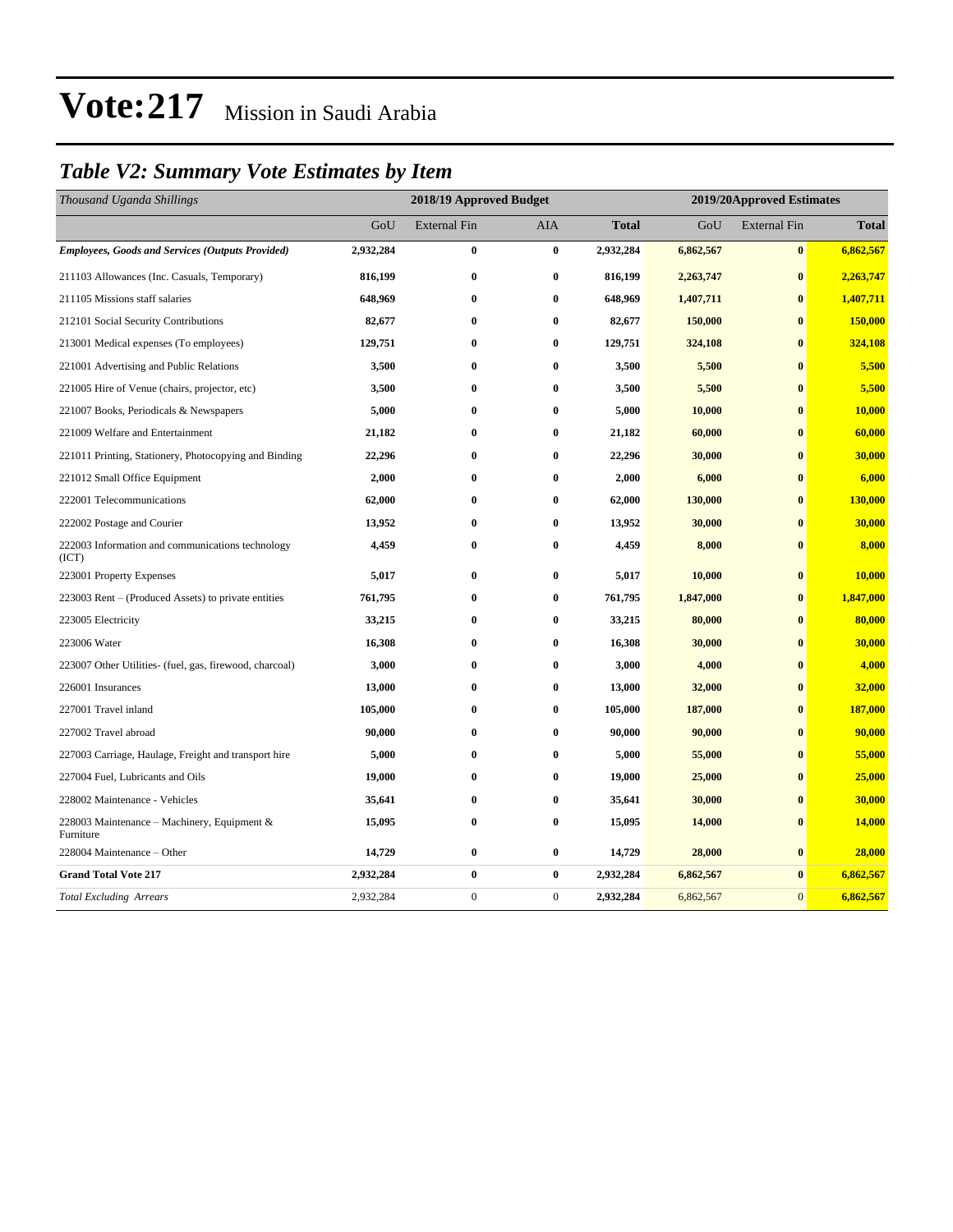### *Table V2: Summary Vote Estimates by Item*

| Thousand Uganda Shillings                                 | 2018/19 Approved Budget |                     |              |              |           | 2019/20Approved Estimates |              |  |
|-----------------------------------------------------------|-------------------------|---------------------|--------------|--------------|-----------|---------------------------|--------------|--|
|                                                           | GoU                     | <b>External Fin</b> | <b>AIA</b>   | <b>Total</b> | GoU       | <b>External Fin</b>       | <b>Total</b> |  |
| <b>Employees, Goods and Services (Outputs Provided)</b>   | 2,932,284               | $\bf{0}$            | $\bf{0}$     | 2,932,284    | 6,862,567 | $\bf{0}$                  | 6,862,567    |  |
| 211103 Allowances (Inc. Casuals, Temporary)               | 816,199                 | $\bf{0}$            | $\bf{0}$     | 816,199      | 2,263,747 | $\bf{0}$                  | 2,263,747    |  |
| 211105 Missions staff salaries                            | 648,969                 | $\bf{0}$            | $\bf{0}$     | 648,969      | 1,407,711 | $\bf{0}$                  | 1,407,711    |  |
| 212101 Social Security Contributions                      | 82,677                  | $\bf{0}$            | $\bf{0}$     | 82,677       | 150,000   | $\bf{0}$                  | 150,000      |  |
| 213001 Medical expenses (To employees)                    | 129,751                 | $\bf{0}$            | $\bf{0}$     | 129,751      | 324,108   | $\bf{0}$                  | 324,108      |  |
| 221001 Advertising and Public Relations                   | 3,500                   | $\bf{0}$            | $\bf{0}$     | 3,500        | 5,500     | $\bf{0}$                  | 5,500        |  |
| 221005 Hire of Venue (chairs, projector, etc)             | 3,500                   | $\bf{0}$            | $\bf{0}$     | 3,500        | 5,500     | $\bf{0}$                  | 5,500        |  |
| 221007 Books, Periodicals & Newspapers                    | 5,000                   | $\bf{0}$            | $\bf{0}$     | 5,000        | 10,000    | $\bf{0}$                  | 10,000       |  |
| 221009 Welfare and Entertainment                          | 21,182                  | $\bf{0}$            | $\bf{0}$     | 21,182       | 60,000    | $\bf{0}$                  | 60,000       |  |
| 221011 Printing, Stationery, Photocopying and Binding     | 22,296                  | $\bf{0}$            | $\bf{0}$     | 22,296       | 30,000    | $\bf{0}$                  | 30,000       |  |
| 221012 Small Office Equipment                             | 2,000                   | $\bf{0}$            | $\bf{0}$     | 2,000        | 6,000     | $\bf{0}$                  | 6,000        |  |
| 222001 Telecommunications                                 | 62,000                  | $\bf{0}$            | $\bf{0}$     | 62,000       | 130,000   | $\bf{0}$                  | 130,000      |  |
| 222002 Postage and Courier                                | 13,952                  | $\bf{0}$            | $\bf{0}$     | 13,952       | 30,000    | $\bf{0}$                  | 30,000       |  |
| 222003 Information and communications technology<br>(ICT) | 4,459                   | $\bf{0}$            | $\bf{0}$     | 4,459        | 8,000     | $\bf{0}$                  | 8,000        |  |
| 223001 Property Expenses                                  | 5,017                   | $\bf{0}$            | $\bf{0}$     | 5,017        | 10,000    | $\bf{0}$                  | 10,000       |  |
| 223003 Rent - (Produced Assets) to private entities       | 761,795                 | $\bf{0}$            | $\bf{0}$     | 761,795      | 1,847,000 | $\bf{0}$                  | 1,847,000    |  |
| 223005 Electricity                                        | 33,215                  | $\bf{0}$            | $\bf{0}$     | 33,215       | 80,000    | $\bf{0}$                  | 80,000       |  |
| 223006 Water                                              | 16,308                  | $\bf{0}$            | $\bf{0}$     | 16,308       | 30,000    | $\bf{0}$                  | 30,000       |  |
| 223007 Other Utilities- (fuel, gas, firewood, charcoal)   | 3,000                   | $\bf{0}$            | $\bf{0}$     | 3,000        | 4,000     | $\bf{0}$                  | 4,000        |  |
| 226001 Insurances                                         | 13,000                  | $\bf{0}$            | $\bf{0}$     | 13,000       | 32,000    | $\bf{0}$                  | 32,000       |  |
| 227001 Travel inland                                      | 105,000                 | $\bf{0}$            | $\bf{0}$     | 105,000      | 187,000   | $\mathbf{0}$              | 187,000      |  |
| 227002 Travel abroad                                      | 90,000                  | $\bf{0}$            | $\bf{0}$     | 90,000       | 90,000    | $\bf{0}$                  | 90,000       |  |
| 227003 Carriage, Haulage, Freight and transport hire      | 5,000                   | $\bf{0}$            | $\bf{0}$     | 5,000        | 55,000    | $\bf{0}$                  | 55,000       |  |
| 227004 Fuel, Lubricants and Oils                          | 19,000                  | $\bf{0}$            | $\bf{0}$     | 19,000       | 25,000    | $\bf{0}$                  | 25,000       |  |
| 228002 Maintenance - Vehicles                             | 35,641                  | $\bf{0}$            | $\bf{0}$     | 35,641       | 30,000    | $\bf{0}$                  | 30,000       |  |
| 228003 Maintenance – Machinery, Equipment &<br>Furniture  | 15,095                  | $\bf{0}$            | $\bf{0}$     | 15,095       | 14,000    | $\bf{0}$                  | 14,000       |  |
| 228004 Maintenance - Other                                | 14,729                  | $\bf{0}$            | $\bf{0}$     | 14,729       | 28,000    | $\bf{0}$                  | 28,000       |  |
| <b>Grand Total Vote 217</b>                               | 2,932,284               | $\bf{0}$            | $\bf{0}$     | 2,932,284    | 6,862,567 | $\bf{0}$                  | 6,862,567    |  |
| <b>Total Excluding Arrears</b>                            | 2,932,284               | $\mathbf{0}$        | $\mathbf{0}$ | 2,932,284    | 6,862,567 | $\overline{0}$            | 6,862,567    |  |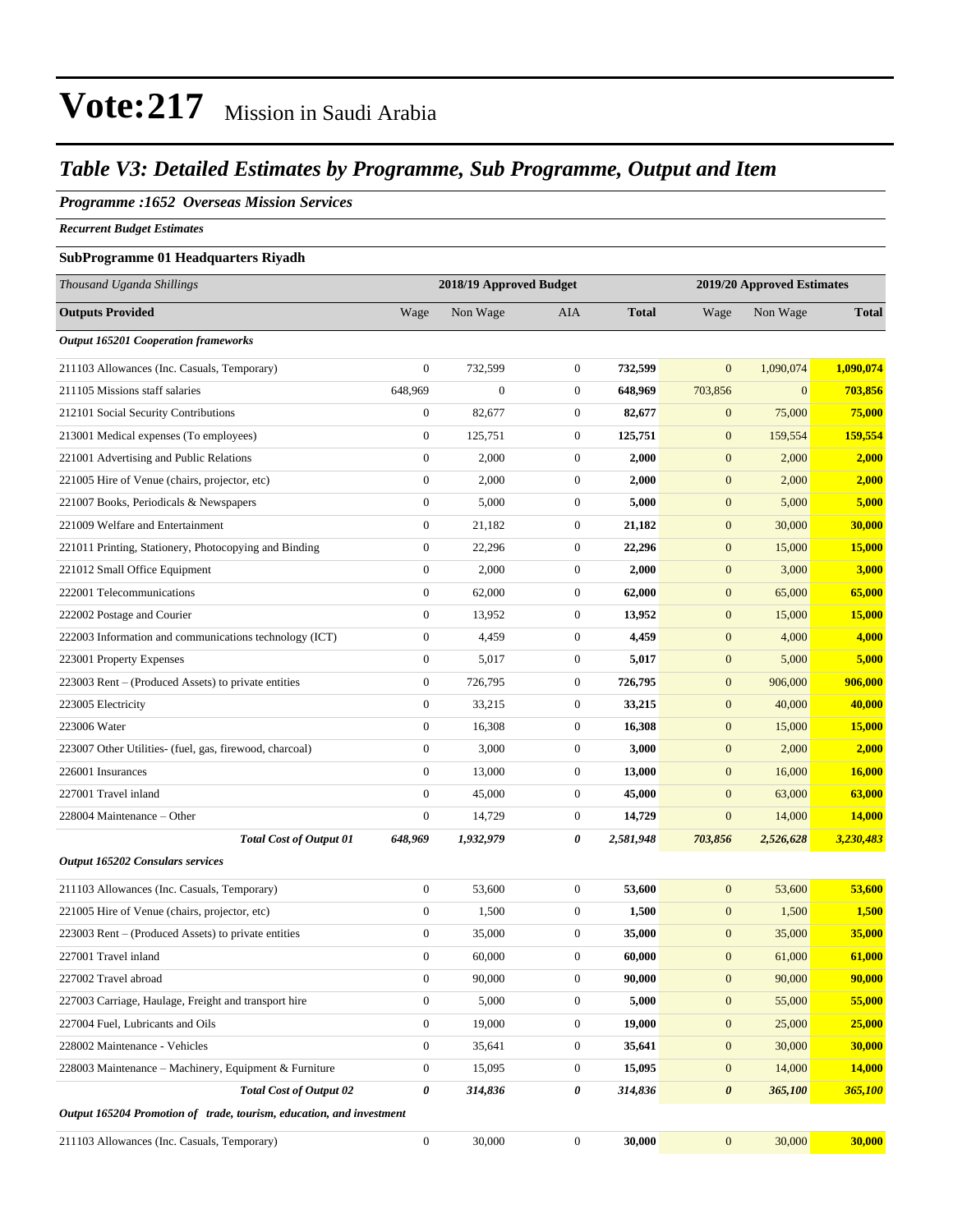### *Table V3: Detailed Estimates by Programme, Sub Programme, Output and Item*

### *Programme :1652 Overseas Mission Services*

*Recurrent Budget Estimates*

#### **SubProgramme 01 Headquarters Riyadh**

| Thousand Uganda Shillings                                            | 2018/19 Approved Budget<br>2019/20 Approved Estimates |                  |                  |              |                       |              |                |
|----------------------------------------------------------------------|-------------------------------------------------------|------------------|------------------|--------------|-----------------------|--------------|----------------|
| <b>Outputs Provided</b>                                              | Wage                                                  | Non Wage         | AIA              | <b>Total</b> | Wage                  | Non Wage     | <b>Total</b>   |
| <b>Output 165201 Cooperation frameworks</b>                          |                                                       |                  |                  |              |                       |              |                |
| 211103 Allowances (Inc. Casuals, Temporary)                          | $\boldsymbol{0}$                                      | 732,599          | $\boldsymbol{0}$ | 732,599      | $\mathbf{0}$          | 1,090,074    | 1,090,074      |
| 211105 Missions staff salaries                                       | 648,969                                               | $\boldsymbol{0}$ | $\boldsymbol{0}$ | 648,969      | 703,856               | $\mathbf{0}$ | 703,856        |
| 212101 Social Security Contributions                                 | $\boldsymbol{0}$                                      | 82,677           | $\boldsymbol{0}$ | 82,677       | $\mathbf{0}$          | 75,000       | 75,000         |
| 213001 Medical expenses (To employees)                               | $\boldsymbol{0}$                                      | 125,751          | $\boldsymbol{0}$ | 125,751      | $\mathbf{0}$          | 159,554      | 159,554        |
| 221001 Advertising and Public Relations                              | $\boldsymbol{0}$                                      | 2,000            | $\boldsymbol{0}$ | 2,000        | $\boldsymbol{0}$      | 2,000        | 2,000          |
| 221005 Hire of Venue (chairs, projector, etc)                        | $\boldsymbol{0}$                                      | 2,000            | $\boldsymbol{0}$ | 2,000        | $\mathbf{0}$          | 2,000        | 2,000          |
| 221007 Books, Periodicals & Newspapers                               | $\boldsymbol{0}$                                      | 5,000            | $\boldsymbol{0}$ | 5,000        | $\mathbf{0}$          | 5,000        | 5,000          |
| 221009 Welfare and Entertainment                                     | $\boldsymbol{0}$                                      | 21,182           | $\boldsymbol{0}$ | 21,182       | $\mathbf{0}$          | 30,000       | 30,000         |
| 221011 Printing, Stationery, Photocopying and Binding                | $\boldsymbol{0}$                                      | 22,296           | $\boldsymbol{0}$ | 22,296       | $\mathbf{0}$          | 15,000       | <b>15,000</b>  |
| 221012 Small Office Equipment                                        | $\boldsymbol{0}$                                      | 2,000            | $\boldsymbol{0}$ | 2,000        | $\boldsymbol{0}$      | 3,000        | 3,000          |
| 222001 Telecommunications                                            | $\boldsymbol{0}$                                      | 62,000           | $\boldsymbol{0}$ | 62,000       | $\boldsymbol{0}$      | 65,000       | 65,000         |
| 222002 Postage and Courier                                           | $\boldsymbol{0}$                                      | 13,952           | $\boldsymbol{0}$ | 13,952       | $\mathbf{0}$          | 15,000       | 15,000         |
| 222003 Information and communications technology (ICT)               | $\boldsymbol{0}$                                      | 4,459            | $\boldsymbol{0}$ | 4,459        | $\mathbf{0}$          | 4,000        | 4,000          |
| 223001 Property Expenses                                             | $\boldsymbol{0}$                                      | 5,017            | $\boldsymbol{0}$ | 5,017        | $\mathbf{0}$          | 5,000        | 5,000          |
| 223003 Rent – (Produced Assets) to private entities                  | $\boldsymbol{0}$                                      | 726,795          | $\boldsymbol{0}$ | 726,795      | $\boldsymbol{0}$      | 906,000      | 906,000        |
| 223005 Electricity                                                   | $\boldsymbol{0}$                                      | 33,215           | $\boldsymbol{0}$ | 33,215       | $\mathbf{0}$          | 40,000       | 40,000         |
| 223006 Water                                                         | $\boldsymbol{0}$                                      | 16,308           | $\boldsymbol{0}$ | 16,308       | $\mathbf{0}$          | 15,000       | 15,000         |
| 223007 Other Utilities- (fuel, gas, firewood, charcoal)              | $\boldsymbol{0}$                                      | 3,000            | $\boldsymbol{0}$ | 3,000        | $\mathbf{0}$          | 2,000        | 2,000          |
| 226001 Insurances                                                    | $\boldsymbol{0}$                                      | 13,000           | $\boldsymbol{0}$ | 13,000       | $\mathbf{0}$          | 16,000       | <b>16,000</b>  |
| 227001 Travel inland                                                 | $\boldsymbol{0}$                                      | 45,000           | $\boldsymbol{0}$ | 45,000       | $\boldsymbol{0}$      | 63,000       | 63,000         |
| 228004 Maintenance – Other                                           | $\boldsymbol{0}$                                      | 14,729           | $\boldsymbol{0}$ | 14,729       | $\mathbf{0}$          | 14,000       | 14,000         |
| <b>Total Cost of Output 01</b>                                       | 648,969                                               | 1,932,979        | 0                | 2,581,948    | 703,856               | 2,526,628    | 3,230,483      |
| Output 165202 Consulars services                                     |                                                       |                  |                  |              |                       |              |                |
| 211103 Allowances (Inc. Casuals, Temporary)                          | $\boldsymbol{0}$                                      | 53,600           | $\boldsymbol{0}$ | 53,600       | $\boldsymbol{0}$      | 53,600       | 53,600         |
| 221005 Hire of Venue (chairs, projector, etc)                        | $\boldsymbol{0}$                                      | 1,500            | $\boldsymbol{0}$ | 1,500        | $\mathbf{0}$          | 1,500        | 1,500          |
| 223003 Rent – (Produced Assets) to private entities                  | $\boldsymbol{0}$                                      | 35,000           | $\boldsymbol{0}$ | 35,000       | $\mathbf{0}$          | 35,000       | 35,000         |
| 227001 Travel inland                                                 | $\boldsymbol{0}$                                      | 60,000           | $\boldsymbol{0}$ | 60,000       | $\mathbf{0}$          | 61,000       | 61,000         |
| 227002 Travel abroad                                                 | $\boldsymbol{0}$                                      | 90,000           | $\boldsymbol{0}$ | 90,000       | $\boldsymbol{0}$      | 90,000       | 90,000         |
| 227003 Carriage, Haulage, Freight and transport hire                 | $\boldsymbol{0}$                                      | 5,000            | $\boldsymbol{0}$ | 5,000        | $\boldsymbol{0}$      | 55,000       | 55,000         |
| 227004 Fuel, Lubricants and Oils                                     | $\boldsymbol{0}$                                      | 19,000           | $\boldsymbol{0}$ | 19,000       | $\mathbf{0}$          | 25,000       | <b>25,000</b>  |
| 228002 Maintenance - Vehicles                                        | $\boldsymbol{0}$                                      | 35,641           | $\boldsymbol{0}$ | 35,641       | $\mathbf{0}$          | 30,000       | 30,000         |
| 228003 Maintenance - Machinery, Equipment & Furniture                | $\boldsymbol{0}$                                      | 15,095           | $\boldsymbol{0}$ | 15,095       | $\boldsymbol{0}$      | 14,000       | 14,000         |
| <b>Total Cost of Output 02</b>                                       | $\boldsymbol{\theta}$                                 | 314,836          | 0                | 314,836      | $\boldsymbol{\theta}$ | 365,100      | <b>365,100</b> |
| Output 165204 Promotion of trade, tourism, education, and investment |                                                       |                  |                  |              |                       |              |                |
| 211103 Allowances (Inc. Casuals, Temporary)                          | $\boldsymbol{0}$                                      | 30,000           | $\boldsymbol{0}$ | 30,000       | $\mathbf{0}$          | 30,000       | 30,000         |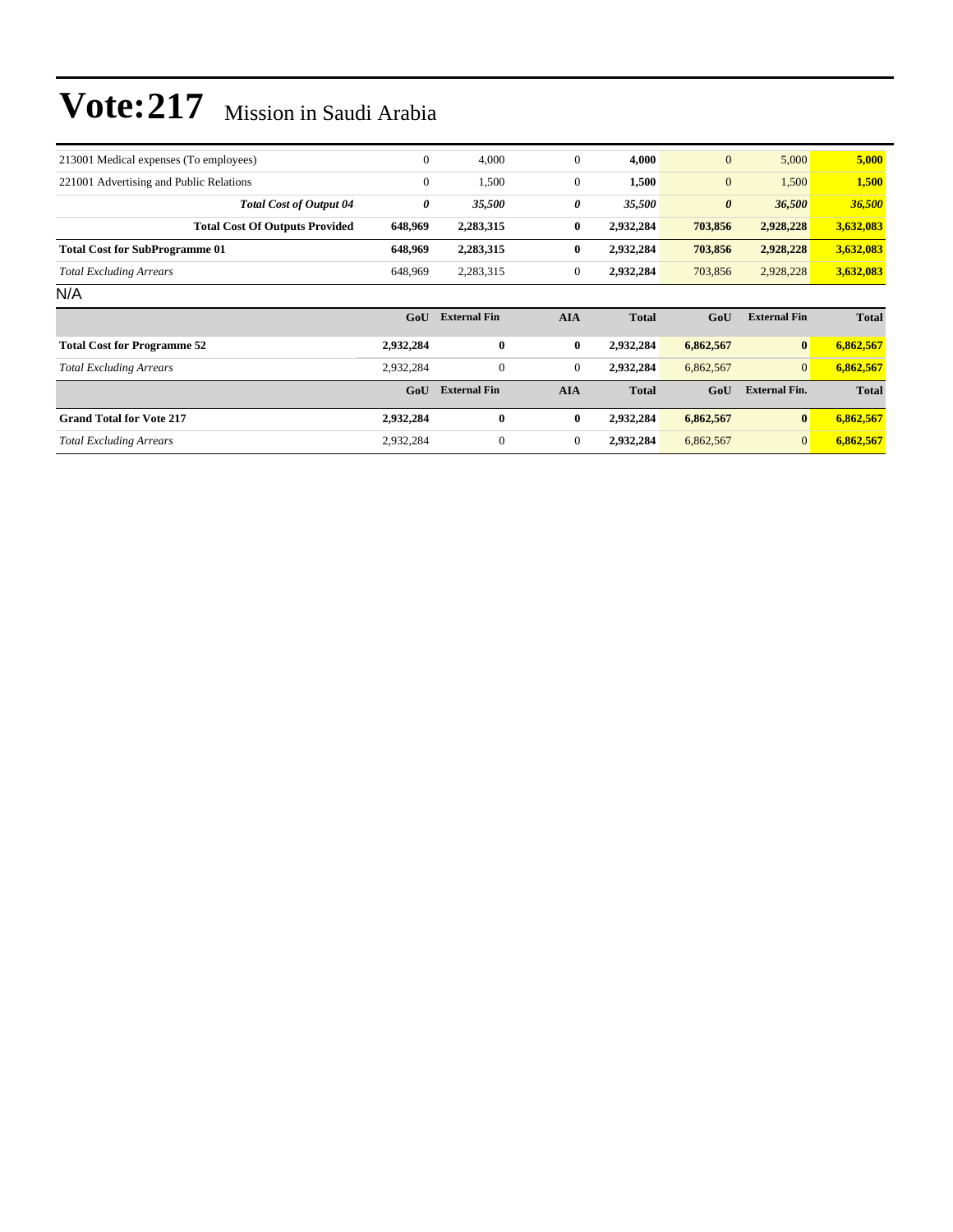| 213001 Medical expenses (To employees)  |                                       | $\theta$       | 4,000               | $\mathbf{0}$   | 4,000        | $\mathbf{0}$          | 5,000                | 5,000        |
|-----------------------------------------|---------------------------------------|----------------|---------------------|----------------|--------------|-----------------------|----------------------|--------------|
| 221001 Advertising and Public Relations |                                       | $\overline{0}$ | 1,500               | $\overline{0}$ | 1,500        | $\mathbf{0}$          | 1,500                | 1,500        |
|                                         | <b>Total Cost of Output 04</b>        | 0              | 35,500              | 0              | 35,500       | $\boldsymbol{\theta}$ | 36,500               | 36,500       |
|                                         | <b>Total Cost Of Outputs Provided</b> | 648,969        | 2,283,315           | $\bf{0}$       | 2,932,284    | 703,856               | 2,928,228            | 3,632,083    |
| <b>Total Cost for SubProgramme 01</b>   |                                       | 648,969        | 2,283,315           | $\bf{0}$       | 2,932,284    | 703,856               | 2,928,228            | 3,632,083    |
| <b>Total Excluding Arrears</b>          |                                       | 648,969        | 2,283,315           | $\overline{0}$ | 2,932,284    | 703,856               | 2,928,228            | 3,632,083    |
| N/A                                     |                                       |                |                     |                |              |                       |                      |              |
|                                         |                                       | GoU            | <b>External Fin</b> | <b>AIA</b>     | <b>Total</b> | GoU                   | <b>External Fin</b>  | <b>Total</b> |
| <b>Total Cost for Programme 52</b>      |                                       | 2,932,284      | $\bf{0}$            | $\bf{0}$       | 2,932,284    | 6,862,567             | $\bf{0}$             | 6,862,567    |
| <b>Total Excluding Arrears</b>          |                                       | 2,932,284      | $\mathbf{0}$        | $\overline{0}$ | 2,932,284    | 6,862,567             | $\overline{0}$       | 6,862,567    |
|                                         |                                       | GoU            | <b>External Fin</b> | <b>AIA</b>     | <b>Total</b> | GoU                   | <b>External Fin.</b> | <b>Total</b> |
| <b>Grand Total for Vote 217</b>         |                                       | 2,932,284      | $\bf{0}$            | $\bf{0}$       | 2,932,284    | 6,862,567             | $\bf{0}$             | 6,862,567    |
| <b>Total Excluding Arrears</b>          |                                       | 2,932,284      | $\boldsymbol{0}$    | $\overline{0}$ | 2,932,284    | 6,862,567             | $\mathbf{0}$         | 6,862,567    |
|                                         |                                       |                |                     |                |              |                       |                      |              |